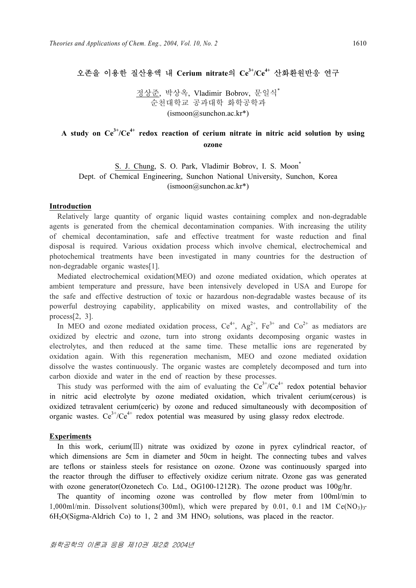## 오존을 이용한 질산용액 내 **Cerium nitrate**의 **Ce3+/Ce4+** 산화환원반응 연구

정상준, 박상옥, Vladimir Bobrov, 문일식\* 순천대학교 공과대학 화학공학과  $(ismoon@sunchon.ac kr*)$ 

# A study on  $Ce^{3t}/Ce^{4t}$  redox reaction of cerium nitrate in nitric acid solution by using **ozone**

S. J. Chung, S. O. Park, Vladimir Bobrov, I. S. Moon<sup>\*</sup> Dept. of Chemical Engineering, Sunchon National University, Sunchon, Korea (ismoon@sunchon.ac.kr\*)

### **Introduction**

Relatively large quantity of organic liquid wastes containing complex and non-degradable agents is generated from the chemical decontamination companies. With increasing the utility of chemical decontamination, safe and effective treatment for waste reduction and final disposal is required. Various oxidation process which involve chemical, electrochemical and photochemical treatments have been investigated in many countries for the destruction of non-degradable organic wastes[1].

 Mediated electrochemical oxidation(MEO) and ozone mediated oxidation, which operates at ambient temperature and pressure, have been intensively developed in USA and Europe for the safe and effective destruction of toxic or hazardous non-degradable wastes because of its powerful destroying capability, applicability on mixed wastes, and controllability of the process[2, 3].

In MEO and ozone mediated oxidation process,  $Ce^{4+}$ ,  $Ag^{2+}$ ,  $Fe^{3+}$  and  $Co^{2+}$  as mediators are oxidized by electric and ozone, turn into strong oxidants decomposing organic wastes in electrolytes, and then reduced at the same time. These metallic ions are regenerated by oxidation again. With this regeneration mechanism, MEO and ozone mediated oxidation dissolve the wastes continuously. The organic wastes are completely decomposed and turn into carbon dioxide and water in the end of reaction by these processes.

This study was performed with the aim of evaluating the  $Ce^{3+}/Ce^{4+}$  redox potential behavior in nitric acid electrolyte by ozone mediated oxidation, which trivalent cerium(cerous) is oxidized tetravalent cerium(ceric) by ozone and reduced simultaneously with decomposition of organic wastes.  $Ce^{3+}/Ce^{4+}$  redox potential was measured by using glassy redox electrode.

#### **Experiments**

 In this work, cerium(Ⅲ) nitrate was oxidized by ozone in pyrex cylindrical reactor, of which dimensions are 5cm in diameter and 50cm in height. The connecting tubes and valves are teflons or stainless steels for resistance on ozone. Ozone was continuously sparged into the reactor through the diffuser to effectively oxidize cerium nitrate. Ozone gas was generated with ozone generator(Ozonetech Co. Ltd., OG100-1212R). The ozone product was  $100g/hr$ .

 The quantity of incoming ozone was controlled by flow meter from 100ml/min to 1,000ml/min. Dissolvent solutions(300ml), which were prepared by 0.01, 0.1 and 1M  $Ce(NO<sub>3</sub>)<sub>3</sub>$ .  $6H<sub>2</sub>O(Sigma-Aldrich Co)$  to 1, 2 and 3M  $HNO<sub>3</sub>$  solutions, was placed in the reactor.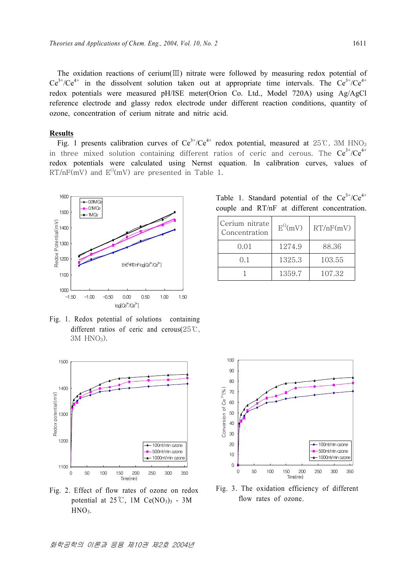The oxidation reactions of cerium(Ⅲ) nitrate were followed by measuring redox potential of  $Ce^{3+}/Ce^{4+}$  in the dissolvent solution taken out at appropriate time intervals. The  $Ce^{3+}/Ce^{4+}$ redox potentials were measured pH/ISE meter(Orion Co. Ltd., Model 720A) using Ag/AgCl reference electrode and glassy redox electrode under different reaction conditions, quantity of ozone, concentration of cerium nitrate and nitric acid.

### **Results**

Fig. 1 presents calibration curves of  $Ce^{3+}/Ce^{4+}$  redox potential, measured at 25℃, 3M HNO<sub>3</sub> in three mixed solution containing different ratios of ceric and cerous. The  $Ce^{3+}/Ce^{4+}$ redox potentials were calculated using Nernst equation. In calibration curves, values of  $\mathrm{RT}/\mathrm{nF}$ (mV) and  $\mathrm{E^0}$ (mV) are presented in Table 1.



Fig. 1. Redox potential of solutions containing different ratios of ceric and cerous(25℃, 3M HNO3).



Fig. 2. Effect of flow rates of ozone on redox potential at  $25^{\circ}$ C, 1M Ce(NO<sub>3</sub>)<sub>3</sub> - 3M HNO<sub>3</sub>.

90 80 Conversion of Ce<sup>3+</sup>(%) Conversion of Ce<sup>3+</sup>(%) 70 60 50 40 30 20 100ml/min ozone 500ml/min ozone 10

Fig. 3. The oxidation efficiency of different flow rates of ozone.

0 50 100 150 200 250 300 350 Time(min)

1000ml/min ozone

 $\overline{0}$ 

100

Table 1. Standard potential of the  $Ce^{3+}/Ce^{4+}$ couple and RT/nF at different concentration.

| Cerium nitrate<br>Concentration | $E^{O}(mV)$ | RT/nF(mV) |
|---------------------------------|-------------|-----------|
| 0.01                            | 1274.9      | 88.36     |
| 0.1                             | 1325.3      | 103.55    |
|                                 | 1359.7      | 107.32    |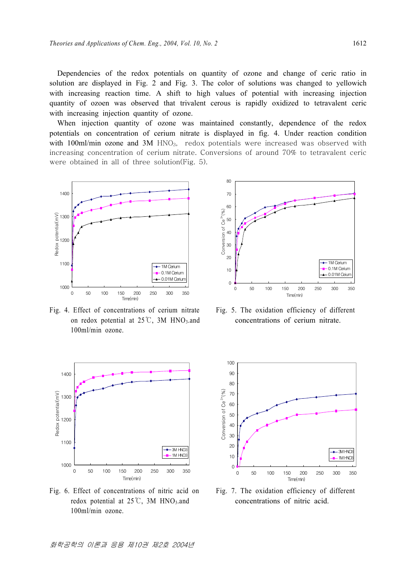Dependencies of the redox potentials on quantity of ozone and change of ceric ratio in solution are displayed in Fig. 2 and Fig. 3. The color of solutions was changed to yellowich with increasing reaction time. A shift to high values of potential with increasing injection quantity of ozoen was observed that trivalent cerous is rapidly oxidized to tetravalent ceric with increasing injection quantity of ozone.

When injection quantity of ozone was maintained constantly, dependence of the redox potentials on concentration of cerium nitrate is displayed in fig. 4. Under reaction condition with 100ml/min ozone and  $3M$  HNO<sub>3</sub>, redox potentials were increased was observed with increasing concentration of cerium nitrate. Conversions of around 70% to tetravalent ceric were obtained in all of three solution(Fig. 5).



Fig. 4. Effect of concentrations of cerium nitrate on redox potential at  $25^{\circ}$ C, 3M HNO<sub>3</sub>.and 100ml/min ozone.



Fig. 6. Effect of concentrations of nitric acid on redox potential at  $25^{\circ}$ C, 3M HNO<sub>3</sub>.and 100ml/min ozone.



Fig. 5. The oxidation efficiency of different concentrations of cerium nitrate.



Fig. 7. The oxidation efficiency of different concentrations of nitric acid.

화학공학의 이론과 응용 제10권 제2호 2004년